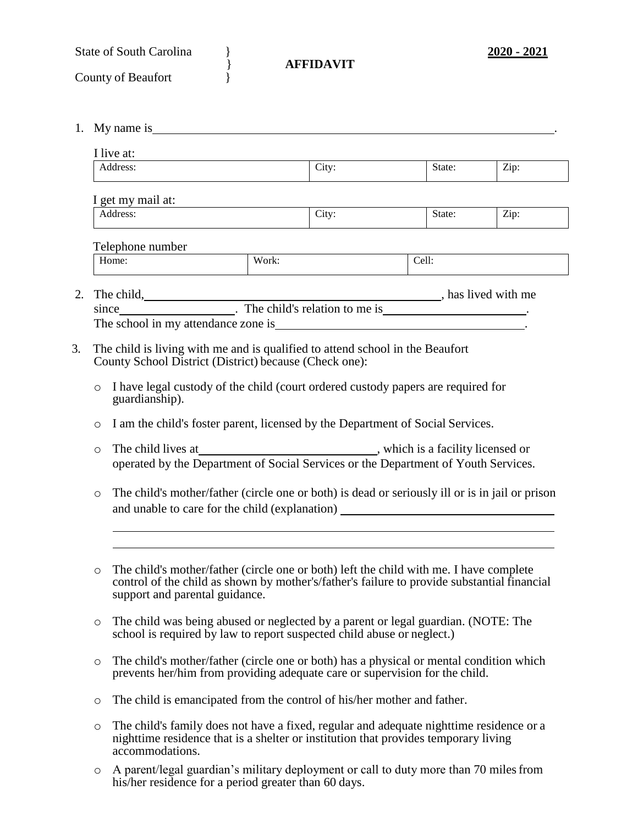| <b>State of South Carolina</b> |  |
|--------------------------------|--|
|                                |  |

- County of Beaufort
- 1. My name is .

| I live at:<br>Address:                                                                             |                                                                                                                                                                                                   | City:                                                                                                                                                                                 |  | State: | Zip: |  |  |  |
|----------------------------------------------------------------------------------------------------|---------------------------------------------------------------------------------------------------------------------------------------------------------------------------------------------------|---------------------------------------------------------------------------------------------------------------------------------------------------------------------------------------|--|--------|------|--|--|--|
|                                                                                                    |                                                                                                                                                                                                   |                                                                                                                                                                                       |  |        |      |  |  |  |
| I get my mail at:                                                                                  |                                                                                                                                                                                                   |                                                                                                                                                                                       |  |        |      |  |  |  |
| Address:                                                                                           |                                                                                                                                                                                                   | City:                                                                                                                                                                                 |  | State: | Zip: |  |  |  |
|                                                                                                    |                                                                                                                                                                                                   |                                                                                                                                                                                       |  |        |      |  |  |  |
| Telephone number                                                                                   |                                                                                                                                                                                                   |                                                                                                                                                                                       |  |        |      |  |  |  |
| Home:                                                                                              |                                                                                                                                                                                                   | Work:                                                                                                                                                                                 |  | Cell:  |      |  |  |  |
|                                                                                                    |                                                                                                                                                                                                   |                                                                                                                                                                                       |  |        |      |  |  |  |
| The child, has lived with me since _____________. The child's relation to me is _________________. |                                                                                                                                                                                                   |                                                                                                                                                                                       |  |        |      |  |  |  |
|                                                                                                    |                                                                                                                                                                                                   |                                                                                                                                                                                       |  |        |      |  |  |  |
| County School District (District) because (Check one):<br>$\circ$<br>guardianship).                |                                                                                                                                                                                                   | I have legal custody of the child (court ordered custody papers are required for                                                                                                      |  |        |      |  |  |  |
| $\circ$                                                                                            | I am the child's foster parent, licensed by the Department of Social Services.                                                                                                                    |                                                                                                                                                                                       |  |        |      |  |  |  |
| $\circ$                                                                                            | operated by the Department of Social Services or the Department of Youth Services.                                                                                                                |                                                                                                                                                                                       |  |        |      |  |  |  |
| O                                                                                                  |                                                                                                                                                                                                   | The child's mother/father (circle one or both) is dead or seriously ill or is in jail or prison<br>and unable to care for the child (explanation) __________________________________  |  |        |      |  |  |  |
| $\circ$<br>support and parental guidance.                                                          |                                                                                                                                                                                                   | The child's mother/father (circle one or both) left the child with me. I have complete<br>control of the child as shown by mother's/father's failure to provide substantial financial |  |        |      |  |  |  |
| O                                                                                                  | The child was being abused or neglected by a parent or legal guardian. (NOTE: The<br>school is required by law to report suspected child abuse or neglect.)                                       |                                                                                                                                                                                       |  |        |      |  |  |  |
| O                                                                                                  | The child's mother/father (circle one or both) has a physical or mental condition which<br>prevents her/him from providing adequate care or supervision for the child.                            |                                                                                                                                                                                       |  |        |      |  |  |  |
| O                                                                                                  | The child is emancipated from the control of his/her mother and father.                                                                                                                           |                                                                                                                                                                                       |  |        |      |  |  |  |
| $\circ$                                                                                            | The child's family does not have a fixed, regular and adequate nighttime residence or a<br>nighttime residence that is a shelter or institution that provides temporary living<br>accommodations. |                                                                                                                                                                                       |  |        |      |  |  |  |
| $\circ$                                                                                            | A parent/legal guardian's military deployment or call to duty more than 70 miles from<br>his/her residence for a period greater than 60 days.                                                     |                                                                                                                                                                                       |  |        |      |  |  |  |